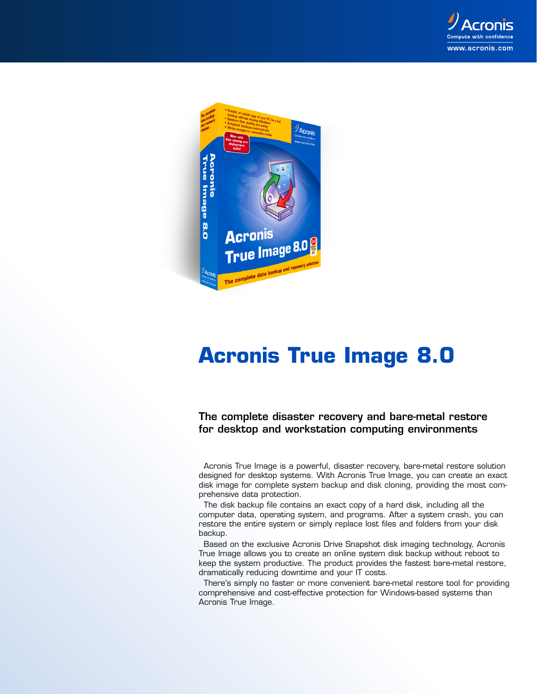



## **Acronis True Image 8.0**

**The complete disaster recovery and bare-metal restore for desktop and workstation computing environments**

Acronis True Image is a powerful, disaster recovery, bare-metal restore solution designed for desktop systems. With Acronis True Image, you can create an exact disk image for complete system backup and disk cloning, providing the most comprehensive data protection.

The disk backup file contains an exact copy of a hard disk, including all the computer data, operating system, and programs. After a system crash, you can restore the entire system or simply replace lost files and folders from your disk backup.

Based on the exclusive Acronis Drive Snapshot disk imaging technology, Acronis True Image allows you to create an online system disk backup without reboot to keep the system productive. The product provides the fastest bare-metal restore, dramatically reducing downtime and your IT costs.

There's simply no faster or more convenient bare-metal restore tool for providing comprehensive and cost-effective protection for Windows-based systems than Acronis True Image.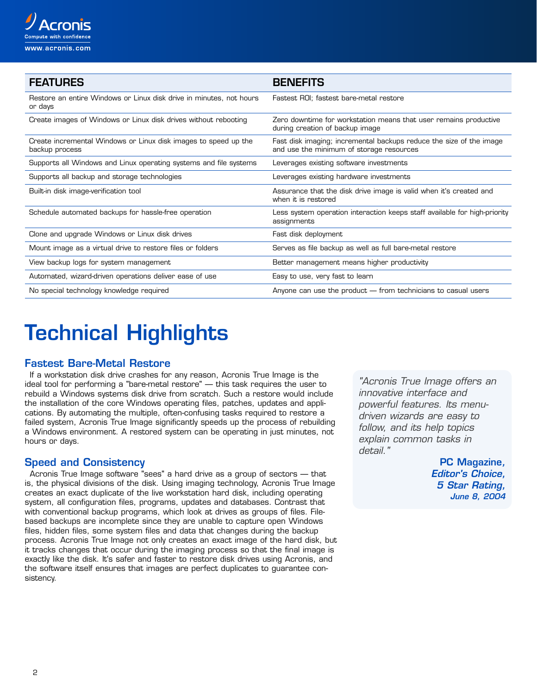

| <b>FEATURES</b>                                                                   | <b>BENEFITS</b>                                                                                                 |
|-----------------------------------------------------------------------------------|-----------------------------------------------------------------------------------------------------------------|
| Restore an entire Windows or Linux disk drive in minutes, not hours<br>or days    | Fastest ROI; fastest bare-metal restore                                                                         |
| Create images of Windows or Linux disk drives without rebooting                   | Zero downtime for workstation means that user remains productive<br>during creation of backup image             |
| Create incremental Windows or Linux disk images to speed up the<br>backup process | Fast disk imaging; incremental backups reduce the size of the image<br>and use the minimum of storage resources |
| Supports all Windows and Linux operating systems and file systems                 | Leverages existing software investments                                                                         |
| Supports all backup and storage technologies                                      | Leverages existing hardware investments                                                                         |
| Built-in disk image-verification tool                                             | Assurance that the disk drive image is valid when it's created and<br>when it is restored                       |
| Schedule automated backups for hassle-free operation                              | Less system operation interaction keeps staff available for high-priority<br>assignments                        |
| Clone and upgrade Windows or Linux disk drives                                    | Fast disk deployment                                                                                            |
| Mount image as a virtual drive to restore files or folders                        | Serves as file backup as well as full bare-metal restore                                                        |
| View backup logs for system management                                            | Better management means higher productivity                                                                     |
| Automated, wizard-driven operations deliver ease of use                           | Easy to use, very fast to learn                                                                                 |
| No special technology knowledge required                                          | Anyone can use the product - from technicians to casual users                                                   |

# **Technical Highlights**

#### **Fastest Bare-Metal Restore**

If a workstation disk drive crashes for any reason, Acronis True Image is the ideal tool for performing a "bare-metal restore" — this task requires the user to rebuild a Windows systems disk drive from scratch. Such a restore would include the installation of the core Windows operating files, patches, updates and applications. By automating the multiple, often-confusing tasks required to restore a failed system, Acronis True Image significantly speeds up the process of rebuilding a Windows environment. A restored system can be operating in just minutes, not hours or days.

#### **Speed and Consistency**

Acronis True Image software "sees" a hard drive as a group of sectors — that is, the physical divisions of the disk. Using imaging technology, Acronis True Image creates an exact duplicate of the live workstation hard disk, including operating system, all configuration files, programs, updates and databases. Contrast that with conventional backup programs, which look at drives as groups of files. Filebased backups are incomplete since they are unable to capture open Windows files, hidden files, some system files and data that changes during the backup process. Acronis True Image not only creates an exact image of the hard disk, but it tracks changes that occur during the imaging process so that the final image is exactly like the disk. It's safer and faster to restore disk drives using Acronis, and the software itself ensures that images are perfect duplicates to guarantee consistency.

"Acronis True Image offers an innovative interface and powerful features. Its menudriven wizards are easy to follow, and its help topics explain common tasks in detail<sup>"</sup>

> **PC Magazine, Editor's Choice, 5 Star Rating, June 8, 2004**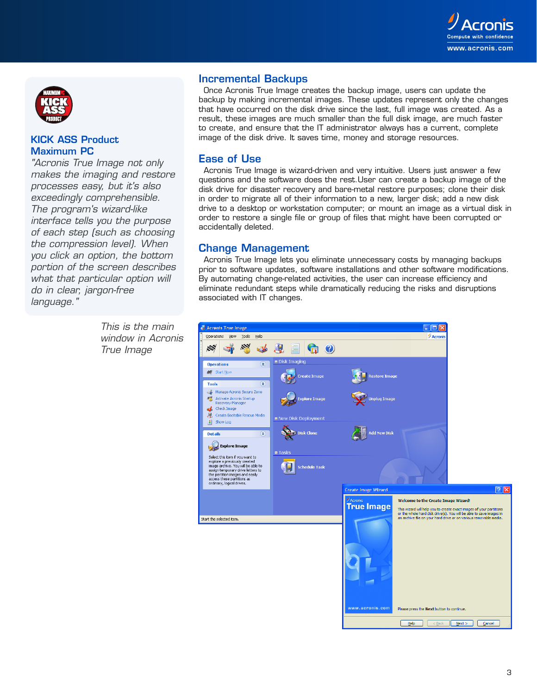



#### **KICK ASS Product Maximum PC**

"Acronis True Image not only makes the imaging and restore processes easy, but it's also exceedingly comprehensible. The program's wizard-like interface tells you the purpose of each step (such as choosing the compression level). When you click an option, the bottom portion of the screen describes what that particular option will do in clear, jargon-free language."

> This is the main window in Acronis True Image

#### **Incremental Backups**

Once Acronis True Image creates the backup image, users can update the backup by making incremental images. These updates represent only the changes that have occurred on the disk drive since the last, full image was created. As a result, these images are much smaller than the full disk image, are much faster to create, and ensure that the IT administrator always has a current, complete image of the disk drive. It saves time, money and storage resources.

#### **Ease of Use**

Acronis True Image is wizard-driven and very intuitive. Users just answer a few questions and the software does the rest.User can create a backup image of the disk drive for disaster recovery and bare-metal restore purposes; clone their disk in order to migrate all of their information to a new, larger disk; add a new disk drive to a desktop or workstation computer; or mount an image as a virtual disk in order to restore a single file or group of files that might have been corrupted or accidentally deleted.

#### **Change Management**

Acronis True Image lets you eliminate unnecessary costs by managing backups prior to software updates, software installations and other software modifications. By automating change-related activities, the user can increase efficiency and eliminate redundant steps while dramatically reducing the risks and disruptions associated with IT changes.